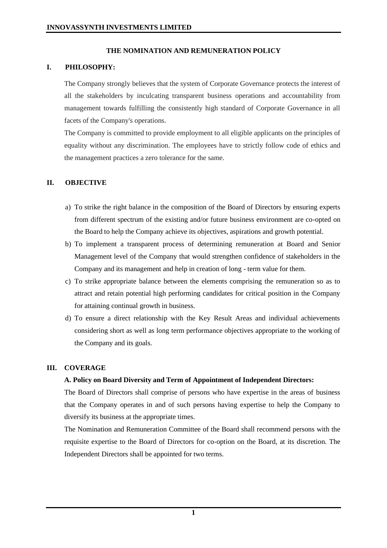### **THE NOMINATION AND REMUNERATION POLICY**

### **I. PHILOSOPHY:**

The Company strongly believes that the system of Corporate Governance protects the interest of all the stakeholders by inculcating transparent business operations and accountability from management towards fulfilling the consistently high standard of Corporate Governance in all facets of the Company's operations.

The Company is committed to provide employment to all eligible applicants on the principles of equality without any discrimination. The employees have to strictly follow code of ethics and the management practices a zero tolerance for the same.

## **II. OBJECTIVE**

- a) To strike the right balance in the composition of the Board of Directors by ensuring experts from different spectrum of the existing and/or future business environment are co-opted on the Board to help the Company achieve its objectives, aspirations and growth potential.
- b) To implement a transparent process of determining remuneration at Board and Senior Management level of the Company that would strengthen confidence of stakeholders in the Company and its management and help in creation of long - term value for them.
- c) To strike appropriate balance between the elements comprising the remuneration so as to attract and retain potential high performing candidates for critical position in the Company for attaining continual growth in business.
- d) To ensure a direct relationship with the Key Result Areas and individual achievements considering short as well as long term performance objectives appropriate to the working of the Company and its goals.

#### **III. COVERAGE**

#### **A. Policy on Board Diversity and Term of Appointment of Independent Directors:**

The Board of Directors shall comprise of persons who have expertise in the areas of business that the Company operates in and of such persons having expertise to help the Company to diversify its business at the appropriate times.

The Nomination and Remuneration Committee of the Board shall recommend persons with the requisite expertise to the Board of Directors for co-option on the Board, at its discretion. The Independent Directors shall be appointed for two terms.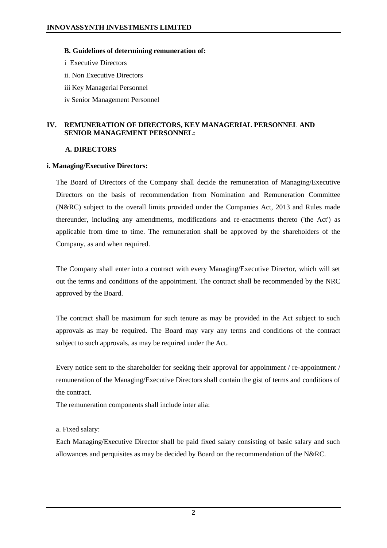### **B. Guidelines of determining remuneration of:**

i Executive Directors ii. Non Executive Directors iii Key Managerial Personnel iv Senior Management Personnel

## **IV. REMUNERATION OF DIRECTORS, KEY MANAGERIAL PERSONNEL AND SENIOR MANAGEMENT PERSONNEL:**

### **A. DIRECTORS**

### **i. Managing/Executive Directors:**

The Board of Directors of the Company shall decide the remuneration of Managing/Executive Directors on the basis of recommendation from Nomination and Remuneration Committee (N&RC) subject to the overall limits provided under the Companies Act, 2013 and Rules made thereunder, including any amendments, modifications and re-enactments thereto ('the Act') as applicable from time to time. The remuneration shall be approved by the shareholders of the Company, as and when required.

The Company shall enter into a contract with every Managing/Executive Director, which will set out the terms and conditions of the appointment. The contract shall be recommended by the NRC approved by the Board.

The contract shall be maximum for such tenure as may be provided in the Act subject to such approvals as may be required. The Board may vary any terms and conditions of the contract subject to such approvals, as may be required under the Act.

Every notice sent to the shareholder for seeking their approval for appointment / re-appointment / remuneration of the Managing/Executive Directors shall contain the gist of terms and conditions of the contract.

The remuneration components shall include inter alia:

## a. Fixed salary:

Each Managing/Executive Director shall be paid fixed salary consisting of basic salary and such allowances and perquisites as may be decided by Board on the recommendation of the N&RC.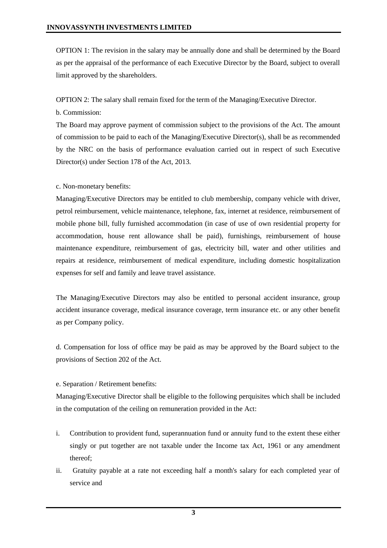OPTION 1: The revision in the salary may be annually done and shall be determined by the Board as per the appraisal of the performance of each Executive Director by the Board, subject to overall limit approved by the shareholders.

OPTION 2: The salary shall remain fixed for the term of the Managing/Executive Director.

b. Commission:

The Board may approve payment of commission subject to the provisions of the Act. The amount of commission to be paid to each of the Managing/Executive Director(s), shall be as recommended by the NRC on the basis of performance evaluation carried out in respect of such Executive Director(s) under Section 178 of the Act, 2013.

c. Non-monetary benefits:

Managing/Executive Directors may be entitled to club membership, company vehicle with driver, petrol reimbursement, vehicle maintenance, telephone, fax, internet at residence, reimbursement of mobile phone bill, fully furnished accommodation (in case of use of own residential property for accommodation, house rent allowance shall be paid), furnishings, reimbursement of house maintenance expenditure, reimbursement of gas, electricity bill, water and other utilities and repairs at residence, reimbursement of medical expenditure, including domestic hospitalization expenses for self and family and leave travel assistance.

The Managing/Executive Directors may also be entitled to personal accident insurance, group accident insurance coverage, medical insurance coverage, term insurance etc. or any other benefit as per Company policy.

d. Compensation for loss of office may be paid as may be approved by the Board subject to the provisions of Section 202 of the Act.

e. Separation / Retirement benefits:

Managing/Executive Director shall be eligible to the following perquisites which shall be included in the computation of the ceiling on remuneration provided in the Act:

- i. Contribution to provident fund, superannuation fund or annuity fund to the extent these either singly or put together are not taxable under the Income tax Act, 1961 or any amendment thereof;
- ii. Gratuity payable at a rate not exceeding half a month's salary for each completed year of service and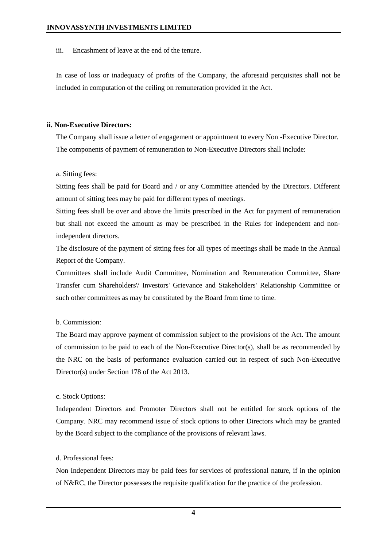iii. Encashment of leave at the end of the tenure.

In case of loss or inadequacy of profits of the Company, the aforesaid perquisites shall not be included in computation of the ceiling on remuneration provided in the Act.

## **ii. Non-Executive Directors:**

The Company shall issue a letter of engagement or appointment to every Non -Executive Director. The components of payment of remuneration to Non-Executive Directors shall include:

a. Sitting fees:

Sitting fees shall be paid for Board and / or any Committee attended by the Directors. Different amount of sitting fees may be paid for different types of meetings.

Sitting fees shall be over and above the limits prescribed in the Act for payment of remuneration but shall not exceed the amount as may be prescribed in the Rules for independent and nonindependent directors.

The disclosure of the payment of sitting fees for all types of meetings shall be made in the Annual Report of the Company.

Committees shall include Audit Committee, Nomination and Remuneration Committee, Share Transfer cum Shareholders'/ Investors' Grievance and Stakeholders' Relationship Committee or such other committees as may be constituted by the Board from time to time.

# b. Commission:

The Board may approve payment of commission subject to the provisions of the Act. The amount of commission to be paid to each of the Non-Executive Director(s), shall be as recommended by the NRC on the basis of performance evaluation carried out in respect of such Non-Executive Director(s) under Section 178 of the Act 2013.

## c. Stock Options:

Independent Directors and Promoter Directors shall not be entitled for stock options of the Company. NRC may recommend issue of stock options to other Directors which may be granted by the Board subject to the compliance of the provisions of relevant laws.

# d. Professional fees:

Non Independent Directors may be paid fees for services of professional nature, if in the opinion of N&RC, the Director possesses the requisite qualification for the practice of the profession.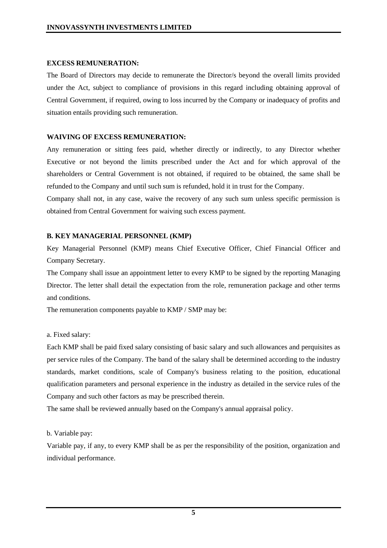### **EXCESS REMUNERATION:**

The Board of Directors may decide to remunerate the Director/s beyond the overall limits provided under the Act, subject to compliance of provisions in this regard including obtaining approval of Central Government, if required, owing to loss incurred by the Company or inadequacy of profits and situation entails providing such remuneration.

## **WAIVING OF EXCESS REMUNERATION:**

Any remuneration or sitting fees paid, whether directly or indirectly, to any Director whether Executive or not beyond the limits prescribed under the Act and for which approval of the shareholders or Central Government is not obtained, if required to be obtained, the same shall be refunded to the Company and until such sum is refunded, hold it in trust for the Company.

Company shall not, in any case, waive the recovery of any such sum unless specific permission is obtained from Central Government for waiving such excess payment.

## **B. KEY MANAGERIAL PERSONNEL (KMP)**

Key Managerial Personnel (KMP) means Chief Executive Officer, Chief Financial Officer and Company Secretary.

The Company shall issue an appointment letter to every KMP to be signed by the reporting Managing Director. The letter shall detail the expectation from the role, remuneration package and other terms and conditions.

The remuneration components payable to KMP / SMP may be:

#### a. Fixed salary:

Each KMP shall be paid fixed salary consisting of basic salary and such allowances and perquisites as per service rules of the Company. The band of the salary shall be determined according to the industry standards, market conditions, scale of Company's business relating to the position, educational qualification parameters and personal experience in the industry as detailed in the service rules of the Company and such other factors as may be prescribed therein.

The same shall be reviewed annually based on the Company's annual appraisal policy.

#### b. Variable pay:

Variable pay, if any, to every KMP shall be as per the responsibility of the position, organization and individual performance.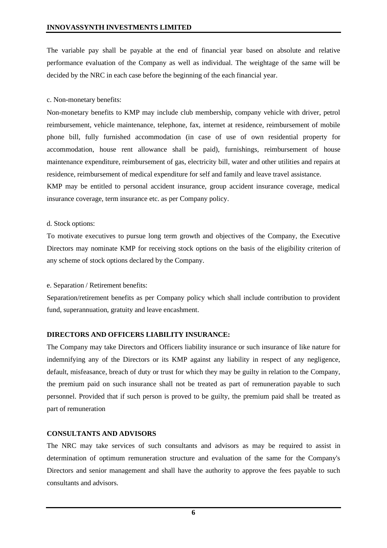The variable pay shall be payable at the end of financial year based on absolute and relative performance evaluation of the Company as well as individual. The weightage of the same will be decided by the NRC in each case before the beginning of the each financial year.

## c. Non-monetary benefits:

Non-monetary benefits to KMP may include club membership, company vehicle with driver, petrol reimbursement, vehicle maintenance, telephone, fax, internet at residence, reimbursement of mobile phone bill, fully furnished accommodation (in case of use of own residential property for accommodation, house rent allowance shall be paid), furnishings, reimbursement of house maintenance expenditure, reimbursement of gas, electricity bill, water and other utilities and repairs at residence, reimbursement of medical expenditure for self and family and leave travel assistance.

KMP may be entitled to personal accident insurance, group accident insurance coverage, medical insurance coverage, term insurance etc. as per Company policy.

## d. Stock options:

To motivate executives to pursue long term growth and objectives of the Company, the Executive Directors may nominate KMP for receiving stock options on the basis of the eligibility criterion of any scheme of stock options declared by the Company.

## e. Separation / Retirement benefits:

Separation/retirement benefits as per Company policy which shall include contribution to provident fund, superannuation, gratuity and leave encashment.

# **DIRECTORS AND OFFICERS LIABILITY INSURANCE:**

The Company may take Directors and Officers liability insurance or such insurance of like nature for indemnifying any of the Directors or its KMP against any liability in respect of any negligence, default, misfeasance, breach of duty or trust for which they may be guilty in relation to the Company, the premium paid on such insurance shall not be treated as part of remuneration payable to such personnel. Provided that if such person is proved to be guilty, the premium paid shall be treated as part of remuneration

# **CONSULTANTS AND ADVISORS**

The NRC may take services of such consultants and advisors as may be required to assist in determination of optimum remuneration structure and evaluation of the same for the Company's Directors and senior management and shall have the authority to approve the fees payable to such consultants and advisors.